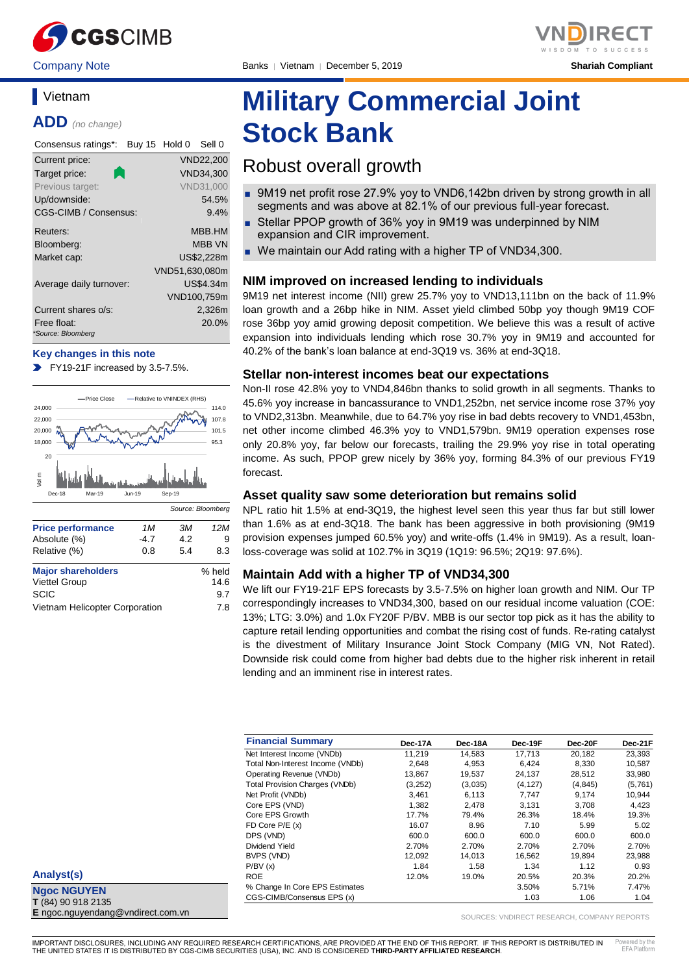

Company Note Banks │ Vietnam │ December 5, 2019 **Shariah Compliant**

### **Vietnam**

**ADD** *(no change)*

| Consensus ratings*:               | Buy 15 Hold 0 |                | Sell 0           |
|-----------------------------------|---------------|----------------|------------------|
| Current price:                    |               |                | VND22,200        |
| Target price:                     |               |                | VND34.300        |
| Previous target:                  |               |                | <b>VND31,000</b> |
| Up/downside:                      |               |                | 54.5%            |
| CGS-CIMB / Consensus:             |               |                | 9.4%             |
| Reuters:                          |               |                | MBB.HM           |
| Bloomberg:                        |               |                | <b>MBB VN</b>    |
| Market cap:                       |               |                | US\$2.228m       |
|                                   |               | VND51,630,080m |                  |
| Average daily turnover:           |               |                | US\$4.34m        |
|                                   |               |                | VND100,759m      |
| Current shares o/s:               |               |                | 2,326m           |
| Free float:<br>*Source: Bloomberg |               |                | 20.0%            |

#### **Key changes in this note**

FY19-21F increased by 3.5-7.5%.



Vietnam Helicopter Corporation 7.8

# **Military Commercial Joint Stock Bank**

### Robust overall growth

- 9M19 net profit rose 27.9% yoy to VND6,142bn driven by strong growth in all segments and was above at 82.1% of our previous full-year forecast.
- Stellar PPOP growth of 36% yoy in 9M19 was underpinned by NIM expansion and CIR improvement.
- We maintain our Add rating with a higher TP of VND34,300.

#### **NIM improved on increased lending to individuals**

9M19 net interest income (NII) grew 25.7% yoy to VND13,111bn on the back of 11.9% loan growth and a 26bp hike in NIM. Asset yield climbed 50bp yoy though 9M19 COF rose 36bp yoy amid growing deposit competition. We believe this was a result of active expansion into individuals lending which rose 30.7% yoy in 9M19 and accounted for 40.2% of the bank's loan balance at end-3Q19 vs. 36% at end-3Q18.

#### **Stellar non-interest incomes beat our expectations**

Non-II rose 42.8% yoy to VND4,846bn thanks to solid growth in all segments. Thanks to 45.6% yoy increase in bancassurance to VND1,252bn, net service income rose 37% yoy to VND2,313bn. Meanwhile, due to 64.7% yoy rise in bad debts recovery to VND1,453bn, net other income climbed 46.3% yoy to VND1,579bn. 9M19 operation expenses rose only 20.8% yoy, far below our forecasts, trailing the 29.9% yoy rise in total operating income. As such, PPOP grew nicely by 36% yoy, forming 84.3% of our previous FY19 forecast.

#### **Asset quality saw some deterioration but remains solid**

NPL ratio hit 1.5% at end-3Q19, the highest level seen this year thus far but still lower than 1.6% as at end-3Q18. The bank has been aggressive in both provisioning (9M19 provision expenses jumped 60.5% yoy) and write-offs (1.4% in 9M19). As a result, loanloss-coverage was solid at 102.7% in 3Q19 (1Q19: 96.5%; 2Q19: 97.6%).

#### **Maintain Add with a higher TP of VND34,300**

We lift our FY19-21F EPS forecasts by 3.5-7.5% on higher loan growth and NIM. Our TP correspondingly increases to VND34,300, based on our residual income valuation (COE: 13%; LTG: 3.0%) and 1.0x FY20F P/BV. MBB is our sector top pick as it has the ability to capture retail lending opportunities and combat the rising cost of funds. Re-rating catalyst is the divestment of Military Insurance Joint Stock Company (MIG VN, Not Rated). Downside risk could come from higher bad debts due to the higher risk inherent in retail lending and an imminent rise in interest rates.

| <b>Financial Summary</b>              | Dec-17A | Dec-18A | Dec-19F  | Dec-20F  | Dec-21F |
|---------------------------------------|---------|---------|----------|----------|---------|
| Net Interest Income (VNDb)            | 11.219  | 14.583  | 17.713   | 20.182   | 23,393  |
| Total Non-Interest Income (VNDb)      | 2,648   | 4,953   | 6,424    | 8,330    | 10,587  |
| Operating Revenue (VNDb)              | 13,867  | 19,537  | 24,137   | 28,512   | 33,980  |
| <b>Total Provision Charges (VNDb)</b> | (3,252) | (3,035) | (4, 127) | (4, 845) | (5,761) |
| Net Profit (VNDb)                     | 3,461   | 6,113   | 7,747    | 9,174    | 10,944  |
| Core EPS (VND)                        | 1.382   | 2.478   | 3.131    | 3.708    | 4.423   |
| Core EPS Growth                       | 17.7%   | 79.4%   | 26.3%    | 18.4%    | 19.3%   |
| FD Core $P/E(x)$                      | 16.07   | 8.96    | 7.10     | 5.99     | 5.02    |
| DPS (VND)                             | 600.0   | 600.0   | 600.0    | 600.0    | 600.0   |
| Dividend Yield                        | 2.70%   | 2.70%   | 2.70%    | 2.70%    | 2.70%   |
| BVPS (VND)                            | 12.092  | 14.013  | 16.562   | 19.894   | 23,988  |
| P/BV(x)                               | 1.84    | 1.58    | 1.34     | 1.12     | 0.93    |
| <b>ROE</b>                            | 12.0%   | 19.0%   | 20.5%    | 20.3%    | 20.2%   |
| % Change In Core EPS Estimates        |         |         | 3.50%    | 5.71%    | 7.47%   |
| CGS-CIMB/Consensus EPS (x)            |         |         | 1.03     | 1.06     | 1.04    |

**Analyst(s)**

**Ngoc NGUYEN T** (84) 90 918 2135 **E** ngoc.nguyendang@vndirect.com.vn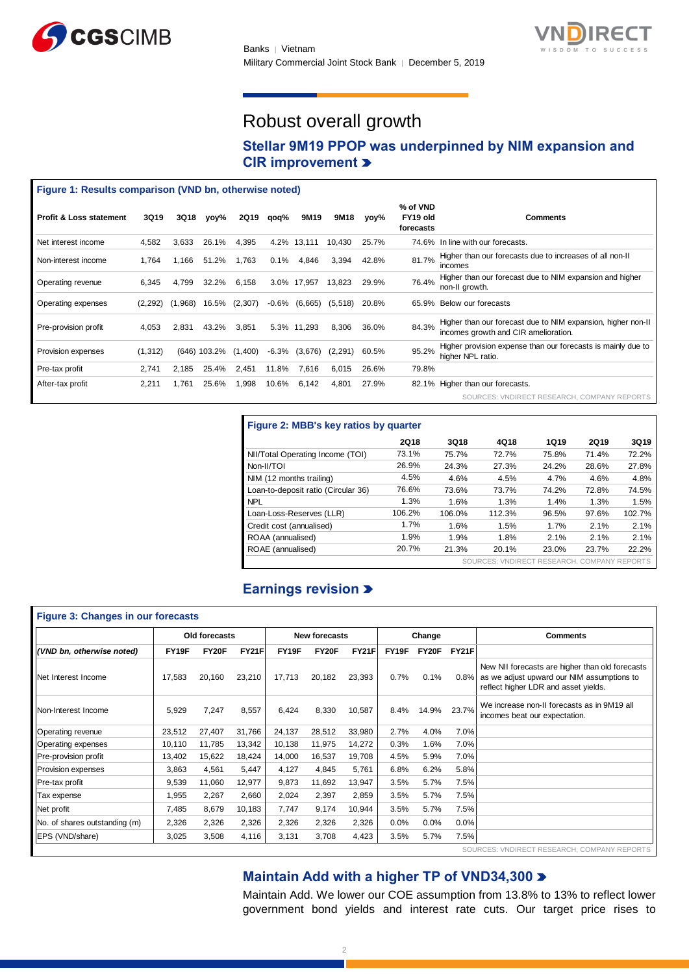



## Robust overall growth

### **Stellar 9M19 PPOP was underpinned by NIM expansion and CIR improvement**

#### **Figure 1: Results comparison (VND bn, otherwise noted)**

| <b>Profit &amp; Loss statement</b> | <b>3Q19</b> | 3Q18    | yoy%   | 2Q19    | qoq%     | 9M19        | 9M18    | vov%  | % of VND<br>FY19 old<br>forecasts | <b>Comments</b>                                                                                      |
|------------------------------------|-------------|---------|--------|---------|----------|-------------|---------|-------|-----------------------------------|------------------------------------------------------------------------------------------------------|
| Net interest income                | 4.582       | 3,633   | 26.1%  | 4,395   | 4.2%     | 13,111      | 10,430  | 25.7% |                                   | 74.6% In line with our forecasts.                                                                    |
| Non-interest income                | 1,764       | 1.166   | 51.2%  | 1,763   | 0.1%     | 4,846       | 3,394   | 42.8% | 81.7%                             | Higher than our forecasts due to increases of all non-II<br>incomes                                  |
| Operating revenue                  | 6,345       | 4.799   | 32.2%  | 6,158   | 3.0%     | 17.957      | 13.823  | 29.9% | 76.4%                             | Higher than our forecast due to NIM expansion and higher<br>non-II growth.                           |
| Operating expenses                 | (2, 292)    | (1,968) | 16.5%  | (2,307) | $-0.6%$  | (6,665)     | (5,518) | 20.8% |                                   | 65.9% Below our forecasts                                                                            |
| Pre-provision profit               | 4.053       | 2.831   | 43.2%  | 3,851   |          | 5.3% 11,293 | 8,306   | 36.0% | 84.3%                             | Higher than our forecast due to NIM expansion, higher non-II<br>incomes growth and CIR amelioration. |
| Provision expenses                 | (1, 312)    | (646)   | 103.2% | (1,400) | $-6.3\%$ | (3.676)     | (2,291) | 60.5% | 95.2%                             | Higher provision expense than our forecasts is mainly due to<br>higher NPL ratio.                    |
| Pre-tax profit                     | 2.741       | 2.185   | 25.4%  | 2.451   | 11.8%    | 7.616       | 6,015   | 26.6% | 79.8%                             |                                                                                                      |
| After-tax profit                   | 2,211       | .761    | 25.6%  | 1,998   | 10.6%    | 6,142       | 4,801   | 27.9% |                                   | 82.1% Higher than our forecasts.                                                                     |
|                                    |             |         |        |         |          |             |         |       |                                   | SOURCES: VNDIRECT RESEARCH, COMPANY REPORTS                                                          |

| Figure 2: MBB's key ratios by quarter       |             |        |        |       |             |        |  |  |  |  |
|---------------------------------------------|-------------|--------|--------|-------|-------------|--------|--|--|--|--|
|                                             | <b>2Q18</b> | 3Q18   | 4Q18   | 1Q19  | <b>2Q19</b> | 3Q19   |  |  |  |  |
| NII/Total Operating Income (TOI)            | 73.1%       | 75.7%  | 72.7%  | 75.8% | 71.4%       | 72.2%  |  |  |  |  |
| Non-II/TOI                                  | 26.9%       | 24.3%  | 27.3%  | 24.2% | 28.6%       | 27.8%  |  |  |  |  |
| NIM (12 months trailing)                    | 4.5%        | 4.6%   | 4.5%   | 4.7%  | 4.6%        | 4.8%   |  |  |  |  |
| Loan-to-deposit ratio (Circular 36)         | 76.6%       | 73.6%  | 73.7%  | 74.2% | 72.8%       | 74.5%  |  |  |  |  |
| <b>NPL</b>                                  | 1.3%        | 1.6%   | 1.3%   | 1.4%  | 1.3%        | 1.5%   |  |  |  |  |
| Loan-Loss-Reserves (LLR)                    | 106.2%      | 106.0% | 112.3% | 96.5% | 97.6%       | 102.7% |  |  |  |  |
| Credit cost (annualised)                    | 1.7%        | 1.6%   | 1.5%   | 1.7%  | 2.1%        | 2.1%   |  |  |  |  |
| ROAA (annualised)                           | 1.9%        | 1.9%   | 1.8%   | 2.1%  | 2.1%        | 2.1%   |  |  |  |  |
| ROAE (annualised)                           | 20.7%       | 21.3%  | 20.1%  | 23.0% | 23.7%       | 22.2%  |  |  |  |  |
| SOURCES: VNDIRECT RESEARCH, COMPANY REPORTS |             |        |        |       |             |        |  |  |  |  |

### **Earnings revision**

| <b>Figure 3: Changes in our forecasts</b> |               |        |              |                      |        |              |         |                 |              |                                                                                                                                       |
|-------------------------------------------|---------------|--------|--------------|----------------------|--------|--------------|---------|-----------------|--------------|---------------------------------------------------------------------------------------------------------------------------------------|
|                                           | Old forecasts |        |              | <b>New forecasts</b> |        | Change       |         | <b>Comments</b> |              |                                                                                                                                       |
| (VND bn, otherwise noted)                 | FY19F         | FY20F  | <b>FY21F</b> | FY19F                | FY20F  | <b>FY21F</b> | FY19F   | FY20F           | <b>FY21F</b> |                                                                                                                                       |
| Net Interest Income                       | 17,583        | 20,160 | 23,210       | 17,713               | 20,182 | 23,393       | 0.7%    | 0.1%            | 0.8%         | New NII forecasts are higher than old forecasts<br>as we adjust upward our NIM assumptions to<br>reflect higher LDR and asset yields. |
| Non-Interest Income                       | 5,929         | 7,247  | 8,557        | 6,424                | 8,330  | 10,587       | 8.4%    | 14.9%           | 23.7%        | We increase non-II forecasts as in 9M19 all<br>incomes beat our expectation.                                                          |
| <b>Operating revenue</b>                  | 23,512        | 27,407 | 31,766       | 24,137               | 28,512 | 33,980       | 2.7%    | 4.0%            | 7.0%         |                                                                                                                                       |
| <b>Operating expenses</b>                 | 10,110        | 11,785 | 13,342       | 10,138               | 11,975 | 14,272       | 0.3%    | 1.6%            | 7.0%         |                                                                                                                                       |
| Pre-provision profit                      | 13,402        | 15,622 | 18,424       | 14,000               | 16,537 | 19,708       | 4.5%    | 5.9%            | 7.0%         |                                                                                                                                       |
| Provision expenses                        | 3,863         | 4,561  | 5,447        | 4,127                | 4,845  | 5,761        | 6.8%    | 6.2%            | 5.8%         |                                                                                                                                       |
| Pre-tax profit                            | 9,539         | 11,060 | 12,977       | 9,873                | 11,692 | 13,947       | 3.5%    | 5.7%            | 7.5%         |                                                                                                                                       |
| Tax expense                               | 1,955         | 2,267  | 2,660        | 2,024                | 2,397  | 2,859        | 3.5%    | 5.7%            | 7.5%         |                                                                                                                                       |
| Net profit                                | 7,485         | 8,679  | 10,183       | 7,747                | 9,174  | 10,944       | 3.5%    | 5.7%            | 7.5%         |                                                                                                                                       |
| No. of shares outstanding (m)             | 2,326         | 2,326  | 2,326        | 2,326                | 2,326  | 2,326        | $0.0\%$ | $0.0\%$         | 0.0%         |                                                                                                                                       |
| EPS (VND/share)                           | 3,025         | 3,508  | 4,116        | 3,131                | 3,708  | 4,423        | 3.5%    | 5.7%            | 7.5%         |                                                                                                                                       |
|                                           |               |        |              |                      |        |              |         |                 |              | SOURCES: VNDIRECT RESEARCH.<br><b>COMPANY REPORTS</b>                                                                                 |

#### **Maintain Add with a higher TP of VND34,300**

Maintain Add. We lower our COE assumption from 13.8% to 13% to reflect lower government bond yields and interest rate cuts. Our target price rises to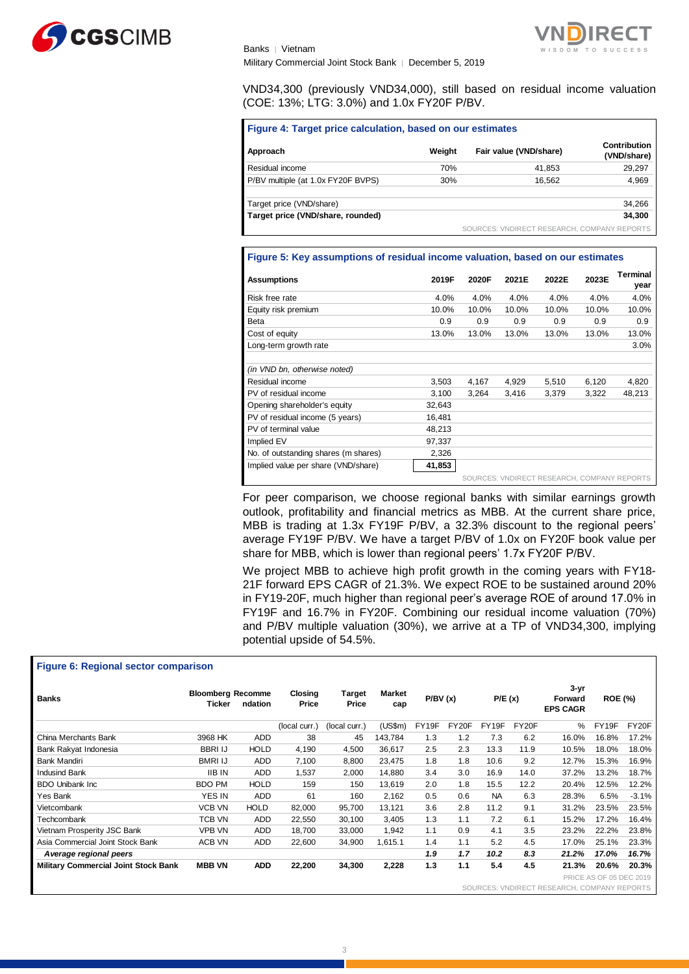



Military Commercial Joint Stock Bank │ December 5, 2019

Banks │ Vietnam

VND34,300 (previously VND34,000), still based on residual income valuation (COE: 13%; LTG: 3.0%) and 1.0x FY20F P/BV.

| <b>Figure 4: Target price calculation, based on our estimates</b> |
|-------------------------------------------------------------------|
|-------------------------------------------------------------------|

| Approach                           | Weight | Fair value (VND/share)                      | Contribution<br>(VND/share) |
|------------------------------------|--------|---------------------------------------------|-----------------------------|
| Residual income                    | 70%    | 41.853                                      | 29.297                      |
| P/BV multiple (at 1.0x FY20F BVPS) | 30%    | 16.562                                      | 4,969                       |
| Target price (VND/share)           |        |                                             | 34,266                      |
| Target price (VND/share, rounded)  |        |                                             | 34,300                      |
|                                    |        | SOURCES: VNDIRECT RESEARCH, COMPANY REPORTS |                             |

#### **Figure 5: Key assumptions of residual income valuation, based on our estimates**

| <b>Assumptions</b>                   | 2019F  | 2020F | 2021E | 2022E                                       | 2023E | <b>Terminal</b><br>year |
|--------------------------------------|--------|-------|-------|---------------------------------------------|-------|-------------------------|
| Risk free rate                       | 4.0%   | 4.0%  | 4.0%  | 4.0%                                        | 4.0%  | 4.0%                    |
| Equity risk premium                  | 10.0%  | 10.0% | 10.0% | 10.0%                                       | 10.0% | 10.0%                   |
| Beta                                 | 0.9    | 0.9   | 0.9   | 0.9                                         | 0.9   | 0.9                     |
| Cost of equity                       | 13.0%  | 13.0% | 13.0% | 13.0%                                       | 13.0% | 13.0%                   |
| Long-term growth rate                |        |       |       |                                             |       | 3.0%                    |
|                                      |        |       |       |                                             |       |                         |
| (in VND bn, otherwise noted)         |        |       |       |                                             |       |                         |
| Residual income                      | 3,503  | 4,167 | 4,929 | 5,510                                       | 6,120 | 4,820                   |
| PV of residual income                | 3,100  | 3,264 | 3.416 | 3,379                                       | 3,322 | 48,213                  |
| Opening shareholder's equity         | 32,643 |       |       |                                             |       |                         |
| PV of residual income (5 years)      | 16.481 |       |       |                                             |       |                         |
| PV of terminal value                 | 48.213 |       |       |                                             |       |                         |
| Implied EV                           | 97.337 |       |       |                                             |       |                         |
| No. of outstanding shares (m shares) | 2,326  |       |       |                                             |       |                         |
| Implied value per share (VND/share)  | 41,853 |       |       |                                             |       |                         |
|                                      |        |       |       | SOURCES: VNDIRECT RESEARCH, COMPANY REPORTS |       |                         |

For peer comparison, we choose regional banks with similar earnings growth outlook, profitability and financial metrics as MBB. At the current share price, MBB is trading at 1.3x FY19F P/BV, a 32.3% discount to the regional peers' average FY19F P/BV. We have a target P/BV of 1.0x on FY20F book value per share for MBB, which is lower than regional peers' 1.7x FY20F P/BV.

We project MBB to achieve high profit growth in the coming years with FY18- 21F forward EPS CAGR of 21.3%. We expect ROE to be sustained around 20% in FY19-20F, much higher than regional peer's average ROE of around 17.0% in FY19F and 16.7% in FY20F. Combining our residual income valuation (70%) and P/BV multiple valuation (30%), we arrive at a TP of VND34,300, implying potential upside of 54.5%.

| Figure 6: Regional sector comparison        |                                    |             |                  |                 |               |         |       |           |       |                                        |                         |         |
|---------------------------------------------|------------------------------------|-------------|------------------|-----------------|---------------|---------|-------|-----------|-------|----------------------------------------|-------------------------|---------|
| <b>Banks</b>                                | <b>Bloomberg Recomme</b><br>Ticker | ndation     | Closing<br>Price | Target<br>Price | Market<br>cap | P/BV(x) |       | P/E(x)    |       | $3 - yr$<br>Forward<br><b>EPS CAGR</b> | <b>ROE (%)</b>          |         |
|                                             |                                    |             | (local curr.)    | (local curr.)   | (US\$m)       | FY19F   | FY20F | FY19F     | FY20F | %                                      | FY19F                   | FY20F   |
| China Merchants Bank                        | 3968 HK                            | <b>ADD</b>  | 38               | 45              | 143,784       | 1.3     | 1.2   | 7.3       | 6.2   | 16.0%                                  | 16.8%                   | 17.2%   |
| Bank Rakyat Indonesia                       | <b>BBRI IJ</b>                     | <b>HOLD</b> | 4,190            | 4,500           | 36,617        | 2.5     | 2.3   | 13.3      | 11.9  | 10.5%                                  | 18.0%                   | 18.0%   |
| Bank Mandiri                                | <b>BMRI IJ</b>                     | <b>ADD</b>  | 7,100            | 8,800           | 23,475        | 1.8     | 1.8   | 10.6      | 9.2   | 12.7%                                  | 15.3%                   | 16.9%   |
| <b>Indusind Bank</b>                        | <b>IIB IN</b>                      | <b>ADD</b>  | 1,537            | 2,000           | 14,880        | 3.4     | 3.0   | 16.9      | 14.0  | 37.2%                                  | 13.2%                   | 18.7%   |
| <b>BDO Unibank Inc.</b>                     | <b>BDO PM</b>                      | <b>HOLD</b> | 159              | 150             | 13,619        | 2.0     | 1.8   | 15.5      | 12.2  | 20.4%                                  | 12.5%                   | 12.2%   |
| Yes Bank                                    | YES IN                             | <b>ADD</b>  | 61               | 160             | 2,162         | 0.5     | 0.6   | <b>NA</b> | 6.3   | 28.3%                                  | 6.5%                    | $-3.1%$ |
| Vietcombank                                 | <b>VCB VN</b>                      | <b>HOLD</b> | 82,000           | 95.700          | 13,121        | 3.6     | 2.8   | 11.2      | 9.1   | 31.2%                                  | 23.5%                   | 23.5%   |
| Techcombank                                 | <b>TCB VN</b>                      | ADD         | 22,550           | 30,100          | 3,405         | 1.3     | 1.1   | 7.2       | 6.1   | 15.2%                                  | 17.2%                   | 16.4%   |
| Vietnam Prosperity JSC Bank                 | <b>VPB VN</b>                      | <b>ADD</b>  | 18,700           | 33,000          | 1,942         | 1.1     | 0.9   | 4.1       | 3.5   | 23.2%                                  | 22.2%                   | 23.8%   |
| Asia Commercial Joint Stock Bank            | ACB VN                             | <b>ADD</b>  | 22,600           | 34,900          | 1,615.1       | 1.4     | 1.1   | 5.2       | 4.5   | 17.0%                                  | 25.1%                   | 23.3%   |
| Average regional peers                      |                                    |             |                  |                 |               | 1.9     | 1.7   | 10.2      | 8.3   | 21.2%                                  | 17.0%                   | 16.7%   |
| <b>Military Commercial Joint Stock Bank</b> | <b>MBB VN</b>                      | <b>ADD</b>  | 22,200           | 34,300          | 2,228         | 1.3     | 1.1   | 5.4       | 4.5   | 21.3%                                  | 20.6%                   | 20.3%   |
|                                             |                                    |             |                  |                 |               |         |       |           |       |                                        | PRICE AS OF 05 DEC 2019 |         |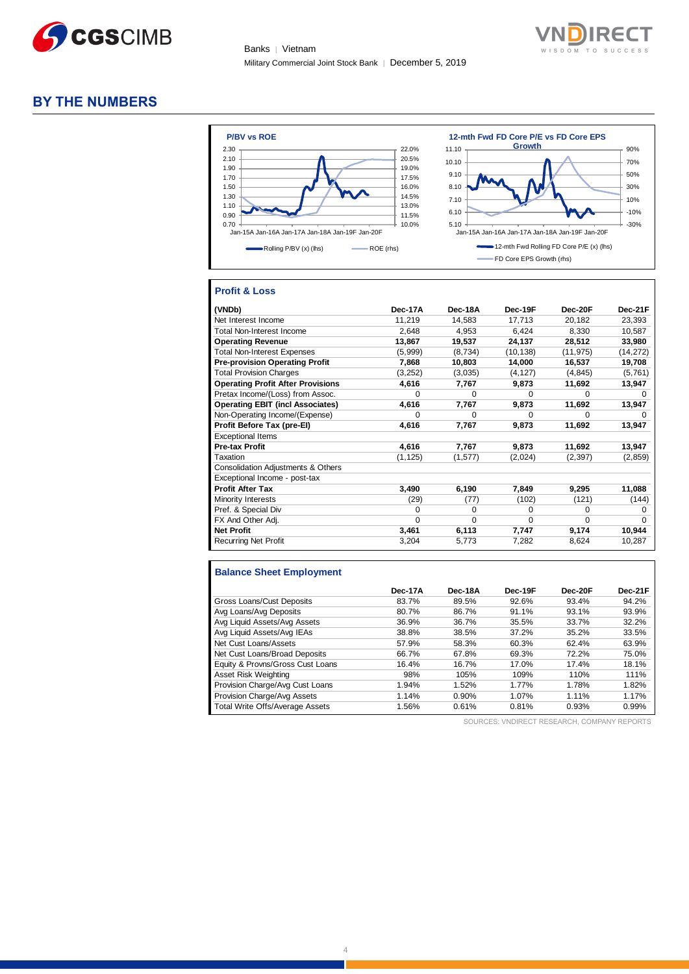



#### **BY THE NUMBERS**



#### **Profit & Loss**

| (VNDb)                                   | Dec-17A  | Dec-18A  | Dec-19F   | Dec-20F   | Dec-21F   |
|------------------------------------------|----------|----------|-----------|-----------|-----------|
| Net Interest Income                      | 11,219   | 14,583   | 17,713    | 20,182    | 23,393    |
| Total Non-Interest Income                | 2,648    | 4,953    | 6,424     | 8,330     | 10,587    |
| <b>Operating Revenue</b>                 | 13,867   | 19,537   | 24,137    | 28,512    | 33,980    |
| <b>Total Non-Interest Expenses</b>       | (5,999)  | (8,734)  | (10, 138) | (11, 975) | (14, 272) |
| <b>Pre-provision Operating Profit</b>    | 7,868    | 10,803   | 14,000    | 16,537    | 19,708    |
| <b>Total Provision Charges</b>           | (3,252)  | (3,035)  | (4, 127)  | (4, 845)  | (5,761)   |
| <b>Operating Profit After Provisions</b> | 4,616    | 7,767    | 9,873     | 11,692    | 13,947    |
| Pretax Income/(Loss) from Assoc.         | $\Omega$ | $\Omega$ | $\Omega$  | $\Omega$  | 0         |
| <b>Operating EBIT (incl Associates)</b>  | 4,616    | 7,767    | 9,873     | 11,692    | 13,947    |
| Non-Operating Income/(Expense)           | $\Omega$ | $\Omega$ | $\Omega$  | ∩         |           |
| Profit Before Tax (pre-El)               | 4,616    | 7,767    | 9,873     | 11,692    | 13,947    |
| <b>Exceptional Items</b>                 |          |          |           |           |           |
| <b>Pre-tax Profit</b>                    | 4,616    | 7,767    | 9,873     | 11,692    | 13,947    |
| Taxation                                 | (1, 125) | (1, 577) | (2,024)   | (2, 397)  | (2, 859)  |
| Consolidation Adjustments & Others       |          |          |           |           |           |
| Exceptional Income - post-tax            |          |          |           |           |           |
| <b>Profit After Tax</b>                  | 3,490    | 6,190    | 7,849     | 9,295     | 11,088    |
| Minority Interests                       | (29)     | (77)     | (102)     | (121)     | (144)     |
| Pref. & Special Div                      | $\Omega$ | $\Omega$ | $\Omega$  | $\Omega$  | 0         |
| FX And Other Adj.                        | $\Omega$ | $\Omega$ | $\Omega$  | $\Omega$  | $\Omega$  |
| <b>Net Profit</b>                        | 3,461    | 6,113    | 7,747     | 9,174     | 10,944    |
| <b>Recurring Net Profit</b>              | 3,204    | 5.773    | 7,282     | 8.624     | 10,287    |

#### **Balance Sheet Employment**

|                                  | Dec-17A | Dec-18A | Dec-19F | Dec-20F | Dec-21F |
|----------------------------------|---------|---------|---------|---------|---------|
| Gross Loans/Cust Deposits        | 83.7%   | 89.5%   | 92.6%   | 93.4%   | 94.2%   |
| Avg Loans/Avg Deposits           | 80.7%   | 86.7%   | 91.1%   | 93.1%   | 93.9%   |
| Avg Liquid Assets/Avg Assets     | 36.9%   | 36.7%   | 35.5%   | 33.7%   | 32.2%   |
| Avg Liquid Assets/Avg IEAs       | 38.8%   | 38.5%   | 37.2%   | 35.2%   | 33.5%   |
| Net Cust Loans/Assets            | 57.9%   | 58.3%   | 60.3%   | 62.4%   | 63.9%   |
| Net Cust Loans/Broad Deposits    | 66.7%   | 67.8%   | 69.3%   | 72.2%   | 75.0%   |
| Equity & Provns/Gross Cust Loans | 16.4%   | 16.7%   | 17.0%   | 17.4%   | 18.1%   |
| Asset Risk Weighting             | 98%     | 105%    | 109%    | 110%    | 111%    |
| Provision Charge/Avg Cust Loans  | 1.94%   | 1.52%   | 1.77%   | 1.78%   | 1.82%   |
| Provision Charge/Avg Assets      | 1.14%   | 0.90%   | 1.07%   | 1.11%   | 1.17%   |
| Total Write Offs/Average Assets  | 1.56%   | 0.61%   | 0.81%   | 0.93%   | 0.99%   |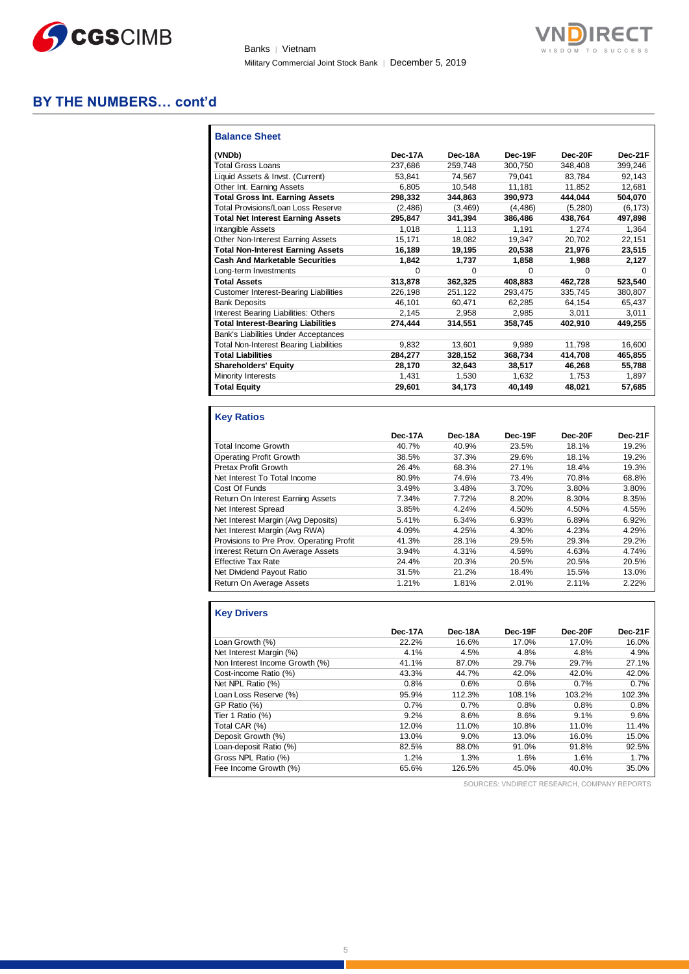

Banks | Vietnam Military Commercial Joint Stock Bank | December 5, 2019



#### **BY THE NUMBERS… cont'd**

| <b>Balance Sheet</b>                          |          |          |         |         |          |
|-----------------------------------------------|----------|----------|---------|---------|----------|
| (VNDb)                                        | Dec-17A  | Dec-18A  | Dec-19F | Dec-20F | Dec-21F  |
| <b>Total Gross Loans</b>                      | 237.686  | 259.748  | 300.750 | 348.408 | 399,246  |
| Liquid Assets & Invst. (Current)              | 53.841   | 74,567   | 79.041  | 83.784  | 92.143   |
| Other Int. Earning Assets                     | 6.805    | 10.548   | 11,181  | 11.852  | 12.681   |
| <b>Total Gross Int. Earning Assets</b>        | 298.332  | 344.863  | 390.973 | 444.044 | 504.070  |
| Total Provisions/Loan Loss Reserve            | (2, 486) | (3, 469) | (4.486) | (5,280) | (6, 173) |
| <b>Total Net Interest Earning Assets</b>      | 295,847  | 341.394  | 386.486 | 438.764 | 497,898  |
| Intangible Assets                             | 1.018    | 1.113    | 1.191   | 1.274   | 1.364    |
| Other Non-Interest Earning Assets             | 15.171   | 18.082   | 19.347  | 20.702  | 22,151   |
| <b>Total Non-Interest Earning Assets</b>      | 16,189   | 19,195   | 20,538  | 21,976  | 23,515   |
| <b>Cash And Marketable Securities</b>         | 1,842    | 1,737    | 1,858   | 1,988   | 2,127    |
| Long-term Investments                         | 0        | 0        | 0       | 0       | 0        |
| <b>Total Assets</b>                           | 313,878  | 362,325  | 408,883 | 462,728 | 523,540  |
| <b>Customer Interest-Bearing Liabilities</b>  | 226,198  | 251,122  | 293.475 | 335.745 | 380,807  |
| <b>Bank Deposits</b>                          | 46.101   | 60.471   | 62.285  | 64.154  | 65.437   |
| Interest Bearing Liabilities: Others          | 2,145    | 2.958    | 2.985   | 3.011   | 3.011    |
| <b>Total Interest-Bearing Liabilities</b>     | 274.444  | 314,551  | 358,745 | 402.910 | 449,255  |
| Bank's Liabilities Under Acceptances          |          |          |         |         |          |
| <b>Total Non-Interest Bearing Liabilities</b> | 9.832    | 13.601   | 9.989   | 11.798  | 16,600   |
| <b>Total Liabilities</b>                      | 284,277  | 328,152  | 368,734 | 414.708 | 465,855  |
| <b>Shareholders' Equity</b>                   | 28,170   | 32.643   | 38.517  | 46,268  | 55.788   |
| Minority Interests                            | 1.431    | 1.530    | 1.632   | 1.753   | 1.897    |
| <b>Total Equity</b>                           | 29,601   | 34,173   | 40,149  | 48,021  | 57,685   |

#### **Key Ratios**

|                                          | Dec-17A | Dec-18A | Dec-19F | Dec-20F | Dec-21F |
|------------------------------------------|---------|---------|---------|---------|---------|
| <b>Total Income Growth</b>               | 40.7%   | 40.9%   | 23.5%   | 18.1%   | 19.2%   |
| <b>Operating Profit Growth</b>           | 38.5%   | 37.3%   | 29.6%   | 18.1%   | 19.2%   |
| Pretax Profit Growth                     | 26.4%   | 68.3%   | 27.1%   | 18.4%   | 19.3%   |
| Net Interest To Total Income             | 80.9%   | 74.6%   | 73.4%   | 70.8%   | 68.8%   |
| Cost Of Funds                            | 3.49%   | 3.48%   | 3.70%   | 3.80%   | 3.80%   |
| Return On Interest Earning Assets        | 7.34%   | 7.72%   | 8.20%   | 8.30%   | 8.35%   |
| Net Interest Spread                      | 3.85%   | 4.24%   | 4.50%   | 4.50%   | 4.55%   |
| Net Interest Margin (Avg Deposits)       | 5.41%   | 6.34%   | 6.93%   | 6.89%   | 6.92%   |
| Net Interest Margin (Avg RWA)            | 4.09%   | 4.25%   | 4.30%   | 4.23%   | 4.29%   |
| Provisions to Pre Prov. Operating Profit | 41.3%   | 28.1%   | 29.5%   | 29.3%   | 29.2%   |
| Interest Return On Average Assets        | 3.94%   | 4.31%   | 4.59%   | 4.63%   | 4.74%   |
| <b>Effective Tax Rate</b>                | 24.4%   | 20.3%   | 20.5%   | 20.5%   | 20.5%   |
| Net Dividend Payout Ratio                | 31.5%   | 21.2%   | 18.4%   | 15.5%   | 13.0%   |
| Return On Average Assets                 | 1.21%   | 1.81%   | 2.01%   | 2.11%   | 2.22%   |

#### **Key Drivers**

|                                | Dec-17A | Dec-18A | Dec-19F | Dec-20F | Dec-21F |
|--------------------------------|---------|---------|---------|---------|---------|
| Loan Growth (%)                | 22.2%   | 16.6%   | 17.0%   | 17.0%   | 16.0%   |
| Net Interest Margin (%)        | 4.1%    | 4.5%    | 4.8%    | 4.8%    | 4.9%    |
| Non Interest Income Growth (%) | 41.1%   | 87.0%   | 29.7%   | 29.7%   | 27.1%   |
| Cost-income Ratio (%)          | 43.3%   | 44.7%   | 42.0%   | 42.0%   | 42.0%   |
| Net NPL Ratio (%)              | 0.8%    | 0.6%    | 0.6%    | 0.7%    | 0.7%    |
| Loan Loss Reserve (%)          | 95.9%   | 112.3%  | 108.1%  | 103.2%  | 102.3%  |
| GP Ratio (%)                   | 0.7%    | 0.7%    | 0.8%    | 0.8%    | 0.8%    |
| Tier 1 Ratio (%)               | 9.2%    | 8.6%    | 8.6%    | 9.1%    | 9.6%    |
| Total CAR (%)                  | 12.0%   | 11.0%   | 10.8%   | 11.0%   | 11.4%   |
| Deposit Growth (%)             | 13.0%   | 9.0%    | 13.0%   | 16.0%   | 15.0%   |
| Loan-deposit Ratio (%)         | 82.5%   | 88.0%   | 91.0%   | 91.8%   | 92.5%   |
| Gross NPL Ratio (%)            | 1.2%    | 1.3%    | 1.6%    | 1.6%    | 1.7%    |
| Fee Income Growth (%)          | 65.6%   | 126.5%  | 45.0%   | 40.0%   | 35.0%   |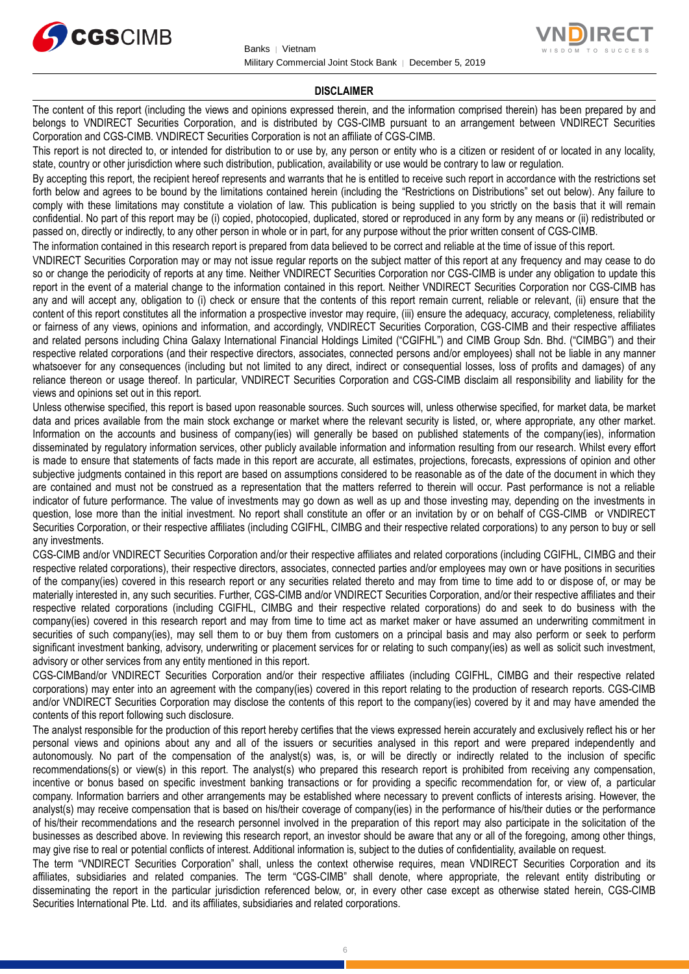



#### **DISCLAIMER**

The content of this report (including the views and opinions expressed therein, and the information comprised therein) has been prepared by and belongs to VNDIRECT Securities Corporation, and is distributed by CGS-CIMB pursuant to an arrangement between VNDIRECT Securities Corporation and CGS-CIMB. VNDIRECT Securities Corporation is not an affiliate of CGS-CIMB.

This report is not directed to, or intended for distribution to or use by, any person or entity who is a citizen or resident of or located in any locality, state, country or other jurisdiction where such distribution, publication, availability or use would be contrary to law or regulation.

By accepting this report, the recipient hereof represents and warrants that he is entitled to receive such report in accordance with the restrictions set forth below and agrees to be bound by the limitations contained herein (including the "Restrictions on Distributions" set out below). Any failure to comply with these limitations may constitute a violation of law. This publication is being supplied to you strictly on the basis that it will remain confidential. No part of this report may be (i) copied, photocopied, duplicated, stored or reproduced in any form by any means or (ii) redistributed or passed on, directly or indirectly, to any other person in whole or in part, for any purpose without the prior written consent of CGS-CIMB.

The information contained in this research report is prepared from data believed to be correct and reliable at the time of issue of this report.

VNDIRECT Securities Corporation may or may not issue regular reports on the subject matter of this report at any frequency and may cease to do so or change the periodicity of reports at any time. Neither VNDIRECT Securities Corporation nor CGS-CIMB is under any obligation to update this report in the event of a material change to the information contained in this report. Neither VNDIRECT Securities Corporation nor CGS-CIMB has any and will accept any, obligation to (i) check or ensure that the contents of this report remain current, reliable or relevant, (ii) ensure that the content of this report constitutes all the information a prospective investor may require, (iii) ensure the adequacy, accuracy, completeness, reliability or fairness of any views, opinions and information, and accordingly, VNDIRECT Securities Corporation, CGS-CIMB and their respective affiliates and related persons including China Galaxy International Financial Holdings Limited ("CGIFHL") and CIMB Group Sdn. Bhd. ("CIMBG") and their respective related corporations (and their respective directors, associates, connected persons and/or employees) shall not be liable in any manner whatsoever for any consequences (including but not limited to any direct, indirect or consequential losses, loss of profits and damages) of any reliance thereon or usage thereof. In particular, VNDIRECT Securities Corporation and CGS-CIMB disclaim all responsibility and liability for the views and opinions set out in this report.

Unless otherwise specified, this report is based upon reasonable sources. Such sources will, unless otherwise specified, for market data, be market data and prices available from the main stock exchange or market where the relevant security is listed, or, where appropriate, any other market. Information on the accounts and business of company(ies) will generally be based on published statements of the company(ies), information disseminated by regulatory information services, other publicly available information and information resulting from our research. Whilst every effort is made to ensure that statements of facts made in this report are accurate, all estimates, projections, forecasts, expressions of opinion and other subjective judgments contained in this report are based on assumptions considered to be reasonable as of the date of the document in which they are contained and must not be construed as a representation that the matters referred to therein will occur. Past performance is not a reliable indicator of future performance. The value of investments may go down as well as up and those investing may, depending on the investments in question, lose more than the initial investment. No report shall constitute an offer or an invitation by or on behalf of CGS-CIMB or VNDIRECT Securities Corporation, or their respective affiliates (including CGIFHL, CIMBG and their respective related corporations) to any person to buy or sell any investments.

CGS-CIMB and/or VNDIRECT Securities Corporation and/or their respective affiliates and related corporations (including CGIFHL, CIMBG and their respective related corporations), their respective directors, associates, connected parties and/or employees may own or have positions in securities of the company(ies) covered in this research report or any securities related thereto and may from time to time add to or dispose of, or may be materially interested in, any such securities. Further, CGS-CIMB and/or VNDIRECT Securities Corporation, and/or their respective affiliates and their respective related corporations (including CGIFHL, CIMBG and their respective related corporations) do and seek to do business with the company(ies) covered in this research report and may from time to time act as market maker or have assumed an underwriting commitment in securities of such company(ies), may sell them to or buy them from customers on a principal basis and may also perform or seek to perform significant investment banking, advisory, underwriting or placement services for or relating to such company(ies) as well as solicit such investment, advisory or other services from any entity mentioned in this report.

CGS-CIMBand/or VNDIRECT Securities Corporation and/or their respective affiliates (including CGIFHL, CIMBG and their respective related corporations) may enter into an agreement with the company(ies) covered in this report relating to the production of research reports. CGS-CIMB and/or VNDIRECT Securities Corporation may disclose the contents of this report to the company(ies) covered by it and may have amended the contents of this report following such disclosure.

The analyst responsible for the production of this report hereby certifies that the views expressed herein accurately and exclusively reflect his or her personal views and opinions about any and all of the issuers or securities analysed in this report and were prepared independently and autonomously. No part of the compensation of the analyst(s) was, is, or will be directly or indirectly related to the inclusion of specific recommendations(s) or view(s) in this report. The analyst(s) who prepared this research report is prohibited from receiving any compensation, incentive or bonus based on specific investment banking transactions or for providing a specific recommendation for, or view of, a particular company. Information barriers and other arrangements may be established where necessary to prevent conflicts of interests arising. However, the analyst(s) may receive compensation that is based on his/their coverage of company(ies) in the performance of his/their duties or the performance of his/their recommendations and the research personnel involved in the preparation of this report may also participate in the solicitation of the businesses as described above. In reviewing this research report, an investor should be aware that any or all of the foregoing, among other things, may give rise to real or potential conflicts of interest. Additional information is, subject to the duties of confidentiality, available on request.

The term "VNDIRECT Securities Corporation" shall, unless the context otherwise requires, mean VNDIRECT Securities Corporation and its affiliates, subsidiaries and related companies. The term "CGS-CIMB" shall denote, where appropriate, the relevant entity distributing or disseminating the report in the particular jurisdiction referenced below, or, in every other case except as otherwise stated herein, CGS-CIMB Securities International Pte. Ltd. and its affiliates, subsidiaries and related corporations.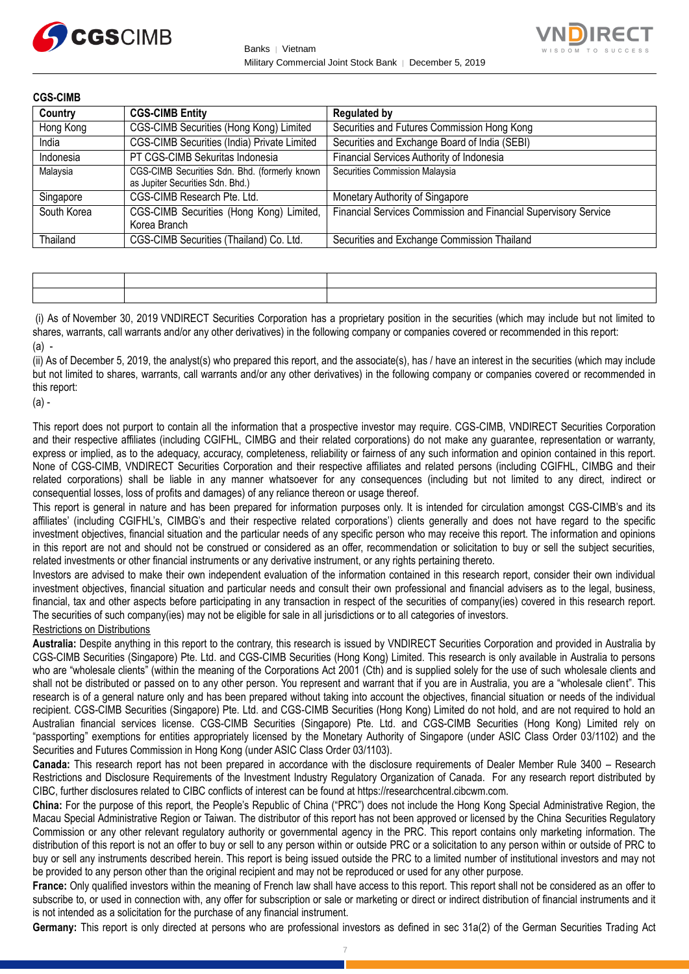



| <b>CGS-CIMB</b> |                                                                                   |                                                                 |
|-----------------|-----------------------------------------------------------------------------------|-----------------------------------------------------------------|
| Country         | <b>CGS-CIMB Entity</b>                                                            | <b>Regulated by</b>                                             |
| Hong Kong       | CGS-CIMB Securities (Hong Kong) Limited                                           | Securities and Futures Commission Hong Kong                     |
| India           | CGS-CIMB Securities (India) Private Limited                                       | Securities and Exchange Board of India (SEBI)                   |
| Indonesia       | PT CGS-CIMB Sekuritas Indonesia                                                   | Financial Services Authority of Indonesia                       |
| Malaysia        | CGS-CIMB Securities Sdn. Bhd. (formerly known<br>as Jupiter Securities Sdn. Bhd.) | Securities Commission Malaysia                                  |
| Singapore       | CGS-CIMB Research Pte. Ltd.                                                       | Monetary Authority of Singapore                                 |
| South Korea     | CGS-CIMB Securities (Hong Kong) Limited,<br>Korea Branch                          | Financial Services Commission and Financial Supervisory Service |
| Thailand        | CGS-CIMB Securities (Thailand) Co. Ltd.                                           | Securities and Exchange Commission Thailand                     |

(i) As of November 30, 2019 VNDIRECT Securities Corporation has a proprietary position in the securities (which may include but not limited to shares, warrants, call warrants and/or any other derivatives) in the following company or companies covered or recommended in this report:  $(a)$  -

(ii) As of December 5, 2019, the analyst(s) who prepared this report, and the associate(s), has / have an interest in the securities (which may include but not limited to shares, warrants, call warrants and/or any other derivatives) in the following company or companies covered or recommended in this report:

(a) -

This report does not purport to contain all the information that a prospective investor may require. CGS-CIMB, VNDIRECT Securities Corporation and their respective affiliates (including CGIFHL, CIMBG and their related corporations) do not make any guarantee, representation or warranty, express or implied, as to the adequacy, accuracy, completeness, reliability or fairness of any such information and opinion contained in this report. None of CGS-CIMB, VNDIRECT Securities Corporation and their respective affiliates and related persons (including CGIFHL, CIMBG and their related corporations) shall be liable in any manner whatsoever for any consequences (including but not limited to any direct, indirect or consequential losses, loss of profits and damages) of any reliance thereon or usage thereof.

This report is general in nature and has been prepared for information purposes only. It is intended for circulation amongst CGS-CIMB's and its affiliates' (including CGIFHL's, CIMBG's and their respective related corporations') clients generally and does not have regard to the specific investment objectives, financial situation and the particular needs of any specific person who may receive this report. The information and opinions in this report are not and should not be construed or considered as an offer, recommendation or solicitation to buy or sell the subject securities, related investments or other financial instruments or any derivative instrument, or any rights pertaining thereto.

Investors are advised to make their own independent evaluation of the information contained in this research report, consider their own individual investment objectives, financial situation and particular needs and consult their own professional and financial advisers as to the legal, business, financial, tax and other aspects before participating in any transaction in respect of the securities of company(ies) covered in this research report. The securities of such company(ies) may not be eligible for sale in all jurisdictions or to all categories of investors.

#### Restrictions on Distributions

**Australia:** Despite anything in this report to the contrary, this research is issued by VNDIRECT Securities Corporation and provided in Australia by CGS-CIMB Securities (Singapore) Pte. Ltd. and CGS-CIMB Securities (Hong Kong) Limited. This research is only available in Australia to persons who are "wholesale clients" (within the meaning of the Corporations Act 2001 (Cth) and is supplied solely for the use of such wholesale clients and shall not be distributed or passed on to any other person. You represent and warrant that if you are in Australia, you are a "wholesale client". This research is of a general nature only and has been prepared without taking into account the objectives, financial situation or needs of the individual recipient. CGS-CIMB Securities (Singapore) Pte. Ltd. and CGS-CIMB Securities (Hong Kong) Limited do not hold, and are not required to hold an Australian financial services license. CGS-CIMB Securities (Singapore) Pte. Ltd. and CGS-CIMB Securities (Hong Kong) Limited rely on "passporting" exemptions for entities appropriately licensed by the Monetary Authority of Singapore (under ASIC Class Order 03/1102) and the Securities and Futures Commission in Hong Kong (under ASIC Class Order 03/1103).

**Canada:** This research report has not been prepared in accordance with the disclosure requirements of Dealer Member Rule 3400 – Research Restrictions and Disclosure Requirements of the Investment Industry Regulatory Organization of Canada. For any research report distributed by CIBC, further disclosures related to CIBC conflicts of interest can be found at https://researchcentral.cibcwm.com.

**China:** For the purpose of this report, the People's Republic of China ("PRC") does not include the Hong Kong Special Administrative Region, the Macau Special Administrative Region or Taiwan. The distributor of this report has not been approved or licensed by the China Securities Regulatory Commission or any other relevant regulatory authority or governmental agency in the PRC. This report contains only marketing information. The distribution of this report is not an offer to buy or sell to any person within or outside PRC or a solicitation to any person within or outside of PRC to buy or sell any instruments described herein. This report is being issued outside the PRC to a limited number of institutional investors and may not be provided to any person other than the original recipient and may not be reproduced or used for any other purpose.

**France:** Only qualified investors within the meaning of French law shall have access to this report. This report shall not be considered as an offer to subscribe to, or used in connection with, any offer for subscription or sale or marketing or direct or indirect distribution of financial instruments and it is not intended as a solicitation for the purchase of any financial instrument.

**Germany:** This report is only directed at persons who are professional investors as defined in sec 31a(2) of the German Securities Trading Act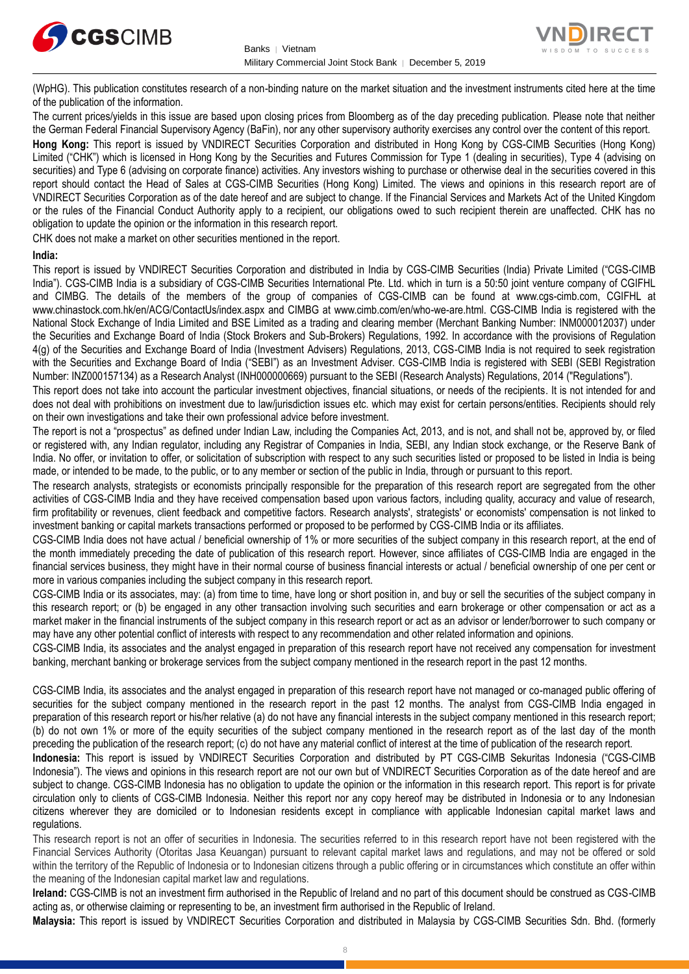



(WpHG). This publication constitutes research of a non-binding nature on the market situation and the investment instruments cited here at the time of the publication of the information.

The current prices/yields in this issue are based upon closing prices from Bloomberg as of the day preceding publication. Please note that neither the German Federal Financial Supervisory Agency (BaFin), nor any other supervisory authority exercises any control over the content of this report.

**Hong Kong:** This report is issued by VNDIRECT Securities Corporation and distributed in Hong Kong by CGS-CIMB Securities (Hong Kong) Limited ("CHK") which is licensed in Hong Kong by the Securities and Futures Commission for Type 1 (dealing in securities), Type 4 (advising on securities) and Type 6 (advising on corporate finance) activities. Any investors wishing to purchase or otherwise deal in the securities covered in this report should contact the Head of Sales at CGS-CIMB Securities (Hong Kong) Limited. The views and opinions in this research report are of VNDIRECT Securities Corporation as of the date hereof and are subject to change. If the Financial Services and Markets Act of the United Kingdom or the rules of the Financial Conduct Authority apply to a recipient, our obligations owed to such recipient therein are unaffected. CHK has no obligation to update the opinion or the information in this research report.

CHK does not make a market on other securities mentioned in the report.

#### **India:**

This report is issued by VNDIRECT Securities Corporation and distributed in India by CGS-CIMB Securities (India) Private Limited ("CGS-CIMB India"). CGS-CIMB India is a subsidiary of CGS-CIMB Securities International Pte. Ltd. which in turn is a 50:50 joint venture company of CGIFHL and CIMBG. The details of the members of the group of companies of CGS-CIMB can be found at www.cgs-cimb.com, CGIFHL at www.chinastock.com.hk/en/ACG/ContactUs/index.aspx and CIMBG at www.cimb.com/en/who-we-are.html. CGS-CIMB India is registered with the National Stock Exchange of India Limited and BSE Limited as a trading and clearing member (Merchant Banking Number: INM000012037) under the Securities and Exchange Board of India (Stock Brokers and Sub-Brokers) Regulations, 1992. In accordance with the provisions of Regulation 4(g) of the Securities and Exchange Board of India (Investment Advisers) Regulations, 2013, CGS-CIMB India is not required to seek registration with the Securities and Exchange Board of India ("SEBI") as an Investment Adviser. CGS-CIMB India is registered with SEBI (SEBI Registration Number: INZ000157134) as a Research Analyst (INH000000669) pursuant to the SEBI (Research Analysts) Regulations, 2014 ("Regulations").

This report does not take into account the particular investment objectives, financial situations, or needs of the recipients. It is not intended for and does not deal with prohibitions on investment due to law/jurisdiction issues etc. which may exist for certain persons/entities. Recipients should rely on their own investigations and take their own professional advice before investment.

The report is not a "prospectus" as defined under Indian Law, including the Companies Act, 2013, and is not, and shall not be, approved by, or filed or registered with, any Indian regulator, including any Registrar of Companies in India, SEBI, any Indian stock exchange, or the Reserve Bank of India. No offer, or invitation to offer, or solicitation of subscription with respect to any such securities listed or proposed to be listed in India is being made, or intended to be made, to the public, or to any member or section of the public in India, through or pursuant to this report.

The research analysts, strategists or economists principally responsible for the preparation of this research report are segregated from the other activities of CGS-CIMB India and they have received compensation based upon various factors, including quality, accuracy and value of research, firm profitability or revenues, client feedback and competitive factors. Research analysts', strategists' or economists' compensation is not linked to investment banking or capital markets transactions performed or proposed to be performed by CGS-CIMB India or its affiliates.

CGS-CIMB India does not have actual / beneficial ownership of 1% or more securities of the subject company in this research report, at the end of the month immediately preceding the date of publication of this research report. However, since affiliates of CGS-CIMB India are engaged in the financial services business, they might have in their normal course of business financial interests or actual / beneficial ownership of one per cent or more in various companies including the subject company in this research report.

CGS-CIMB India or its associates, may: (a) from time to time, have long or short position in, and buy or sell the securities of the subject company in this research report; or (b) be engaged in any other transaction involving such securities and earn brokerage or other compensation or act as a market maker in the financial instruments of the subject company in this research report or act as an advisor or lender/borrower to such company or may have any other potential conflict of interests with respect to any recommendation and other related information and opinions.

CGS-CIMB India, its associates and the analyst engaged in preparation of this research report have not received any compensation for investment banking, merchant banking or brokerage services from the subject company mentioned in the research report in the past 12 months.

CGS-CIMB India, its associates and the analyst engaged in preparation of this research report have not managed or co-managed public offering of securities for the subject company mentioned in the research report in the past 12 months. The analyst from CGS-CIMB India engaged in preparation of this research report or his/her relative (a) do not have any financial interests in the subject company mentioned in this research report; (b) do not own 1% or more of the equity securities of the subject company mentioned in the research report as of the last day of the month preceding the publication of the research report; (c) do not have any material conflict of interest at the time of publication of the research report.

**Indonesia:** This report is issued by VNDIRECT Securities Corporation and distributed by PT CGS-CIMB Sekuritas Indonesia ("CGS-CIMB Indonesia"). The views and opinions in this research report are not our own but of VNDIRECT Securities Corporation as of the date hereof and are subject to change. CGS-CIMB Indonesia has no obligation to update the opinion or the information in this research report. This report is for private circulation only to clients of CGS-CIMB Indonesia. Neither this report nor any copy hereof may be distributed in Indonesia or to any Indonesian citizens wherever they are domiciled or to Indonesian residents except in compliance with applicable Indonesian capital market laws and regulations.

This research report is not an offer of securities in Indonesia. The securities referred to in this research report have not been registered with the Financial Services Authority (Otoritas Jasa Keuangan) pursuant to relevant capital market laws and regulations, and may not be offered or sold within the territory of the Republic of Indonesia or to Indonesian citizens through a public offering or in circumstances which constitute an offer within the meaning of the Indonesian capital market law and regulations.

**Ireland:** CGS-CIMB is not an investment firm authorised in the Republic of Ireland and no part of this document should be construed as CGS-CIMB acting as, or otherwise claiming or representing to be, an investment firm authorised in the Republic of Ireland.

**Malaysia:** This report is issued by VNDIRECT Securities Corporation and distributed in Malaysia by CGS-CIMB Securities Sdn. Bhd. (formerly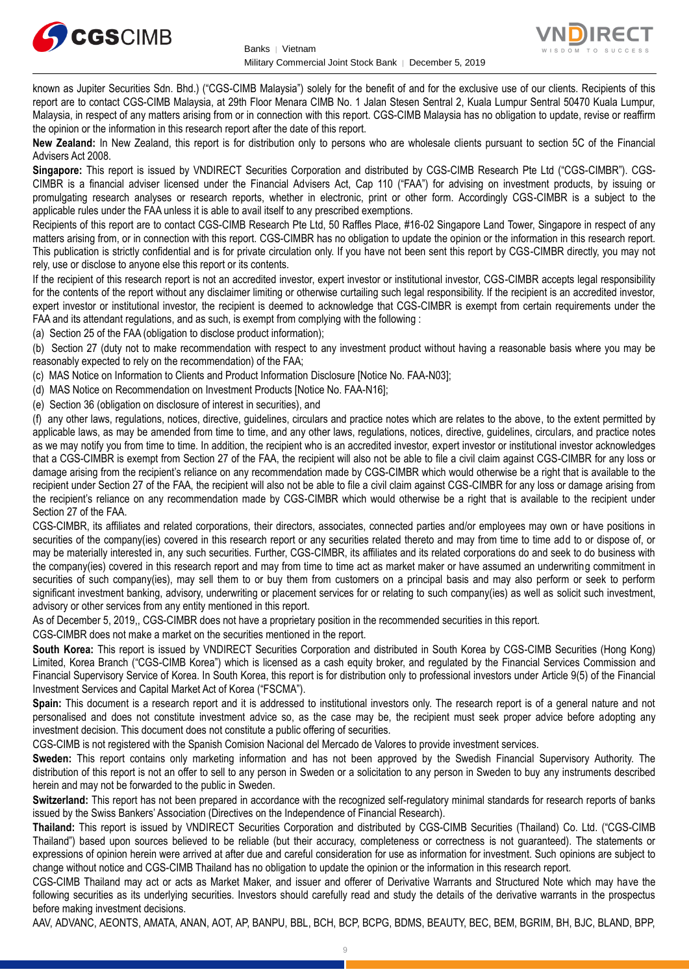



known as Jupiter Securities Sdn. Bhd.) ("CGS-CIMB Malaysia") solely for the benefit of and for the exclusive use of our clients. Recipients of this report are to contact CGS-CIMB Malaysia, at 29th Floor Menara CIMB No. 1 Jalan Stesen Sentral 2, Kuala Lumpur Sentral 50470 Kuala Lumpur, Malaysia, in respect of any matters arising from or in connection with this report. CGS-CIMB Malaysia has no obligation to update, revise or reaffirm the opinion or the information in this research report after the date of this report.

**New Zealand:** In New Zealand, this report is for distribution only to persons who are wholesale clients pursuant to section 5C of the Financial Advisers Act 2008.

**Singapore:** This report is issued by VNDIRECT Securities Corporation and distributed by CGS-CIMB Research Pte Ltd ("CGS-CIMBR"). CGS-CIMBR is a financial adviser licensed under the Financial Advisers Act, Cap 110 ("FAA") for advising on investment products, by issuing or promulgating research analyses or research reports, whether in electronic, print or other form. Accordingly CGS-CIMBR is a subject to the applicable rules under the FAA unless it is able to avail itself to any prescribed exemptions.

Recipients of this report are to contact CGS-CIMB Research Pte Ltd, 50 Raffles Place, #16-02 Singapore Land Tower, Singapore in respect of any matters arising from, or in connection with this report. CGS-CIMBR has no obligation to update the opinion or the information in this research report. This publication is strictly confidential and is for private circulation only. If you have not been sent this report by CGS-CIMBR directly, you may not rely, use or disclose to anyone else this report or its contents.

If the recipient of this research report is not an accredited investor, expert investor or institutional investor, CGS-CIMBR accepts legal responsibility for the contents of the report without any disclaimer limiting or otherwise curtailing such legal responsibility. If the recipient is an accredited investor, expert investor or institutional investor, the recipient is deemed to acknowledge that CGS-CIMBR is exempt from certain requirements under the FAA and its attendant regulations, and as such, is exempt from complying with the following :

(a) Section 25 of the FAA (obligation to disclose product information);

(b) Section 27 (duty not to make recommendation with respect to any investment product without having a reasonable basis where you may be reasonably expected to rely on the recommendation) of the FAA;

(c) MAS Notice on Information to Clients and Product Information Disclosure [Notice No. FAA-N03];

(d) MAS Notice on Recommendation on Investment Products [Notice No. FAA-N16];

(e) Section 36 (obligation on disclosure of interest in securities), and

(f) any other laws, regulations, notices, directive, guidelines, circulars and practice notes which are relates to the above, to the extent permitted by applicable laws, as may be amended from time to time, and any other laws, regulations, notices, directive, guidelines, circulars, and practice notes as we may notify you from time to time. In addition, the recipient who is an accredited investor, expert investor or institutional investor acknowledges that a CGS-CIMBR is exempt from Section 27 of the FAA, the recipient will also not be able to file a civil claim against CGS-CIMBR for any loss or damage arising from the recipient's reliance on any recommendation made by CGS-CIMBR which would otherwise be a right that is available to the recipient under Section 27 of the FAA, the recipient will also not be able to file a civil claim against CGS-CIMBR for any loss or damage arising from the recipient's reliance on any recommendation made by CGS-CIMBR which would otherwise be a right that is available to the recipient under Section 27 of the FAA.

CGS-CIMBR, its affiliates and related corporations, their directors, associates, connected parties and/or employees may own or have positions in securities of the company(ies) covered in this research report or any securities related thereto and may from time to time add to or dispose of, or may be materially interested in, any such securities. Further, CGS-CIMBR, its affiliates and its related corporations do and seek to do business with the company(ies) covered in this research report and may from time to time act as market maker or have assumed an underwriting commitment in securities of such company(ies), may sell them to or buy them from customers on a principal basis and may also perform or seek to perform significant investment banking, advisory, underwriting or placement services for or relating to such company(ies) as well as solicit such investment, advisory or other services from any entity mentioned in this report.

As of December 5, 2019,, CGS-CIMBR does not have a proprietary position in the recommended securities in this report.

CGS-CIMBR does not make a market on the securities mentioned in the report.

**South Korea:** This report is issued by VNDIRECT Securities Corporation and distributed in South Korea by CGS-CIMB Securities (Hong Kong) Limited, Korea Branch ("CGS-CIMB Korea") which is licensed as a cash equity broker, and regulated by the Financial Services Commission and Financial Supervisory Service of Korea. In South Korea, this report is for distribution only to professional investors under Article 9(5) of the Financial Investment Services and Capital Market Act of Korea ("FSCMA").

**Spain:** This document is a research report and it is addressed to institutional investors only. The research report is of a general nature and not personalised and does not constitute investment advice so, as the case may be, the recipient must seek proper advice before adopting any investment decision. This document does not constitute a public offering of securities.

CGS-CIMB is not registered with the Spanish Comision Nacional del Mercado de Valores to provide investment services.

**Sweden:** This report contains only marketing information and has not been approved by the Swedish Financial Supervisory Authority. The distribution of this report is not an offer to sell to any person in Sweden or a solicitation to any person in Sweden to buy any instruments described herein and may not be forwarded to the public in Sweden.

**Switzerland:** This report has not been prepared in accordance with the recognized self-regulatory minimal standards for research reports of banks issued by the Swiss Bankers' Association (Directives on the Independence of Financial Research).

**Thailand:** This report is issued by VNDIRECT Securities Corporation and distributed by CGS-CIMB Securities (Thailand) Co. Ltd. ("CGS-CIMB Thailand") based upon sources believed to be reliable (but their accuracy, completeness or correctness is not guaranteed). The statements or expressions of opinion herein were arrived at after due and careful consideration for use as information for investment. Such opinions are subject to change without notice and CGS-CIMB Thailand has no obligation to update the opinion or the information in this research report.

CGS-CIMB Thailand may act or acts as Market Maker, and issuer and offerer of Derivative Warrants and Structured Note which may have the following securities as its underlying securities. Investors should carefully read and study the details of the derivative warrants in the prospectus before making investment decisions.

AAV, ADVANC, AEONTS, AMATA, ANAN, AOT, AP, BANPU, BBL, BCH, BCP, BCPG, BDMS, BEAUTY, BEC, BEM, BGRIM, BH, BJC, BLAND, BPP,

9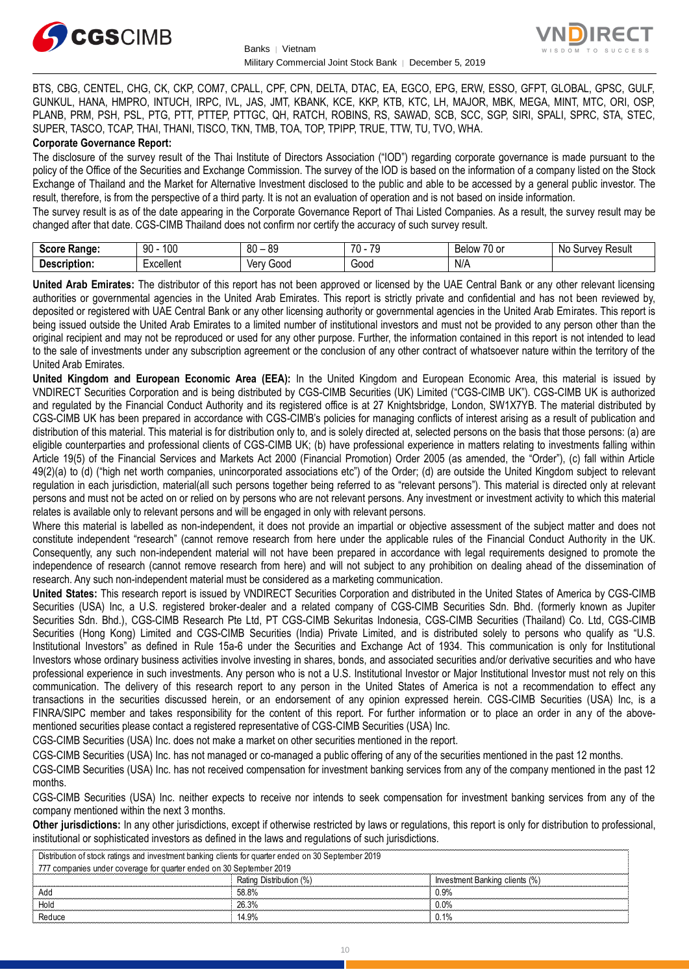



BTS, CBG, CENTEL, CHG, CK, CKP, COM7, CPALL, CPF, CPN, DELTA, DTAC, EA, EGCO, EPG, ERW, ESSO, GFPT, GLOBAL, GPSC, GULF, GUNKUL, HANA, HMPRO, INTUCH, IRPC, IVL, JAS, JMT, KBANK, KCE, KKP, KTB, KTC, LH, MAJOR, MBK, MEGA, MINT, MTC, ORI, OSP, PLANB, PRM, PSH, PSL, PTG, PTT, PTTEP, PTTGC, QH, RATCH, ROBINS, RS, SAWAD, SCB, SCC, SGP, SIRI, SPALI, SPRC, STA, STEC, SUPER, TASCO, TCAP, THAI, THANI, TISCO, TKN, TMB, TOA, TOP, TPIPP, TRUE, TTW, TU, TVO, WHA.

#### **Corporate Governance Report:**

The disclosure of the survey result of the Thai Institute of Directors Association ("IOD") regarding corporate governance is made pursuant to the policy of the Office of the Securities and Exchange Commission. The survey of the IOD is based on the information of a company listed on the Stock Exchange of Thailand and the Market for Alternative Investment disclosed to the public and able to be accessed by a general public investor. The result, therefore, is from the perspective of a third party. It is not an evaluation of operation and is not based on inside information.

The survey result is as of the date appearing in the Corporate Governance Report of Thai Listed Companies. As a result, the survey result may be changed after that date. CGS-CIMB Thailand does not confirm nor certify the accuracy of such survey result.

| <b>Score</b><br>Range: | 100<br>90     | R∩<br>ЯC<br>υu<br>vũ | $\overline{\phantom{a}}$<br>$\overline{\phantom{a}}$<br>., | $\overline{\phantom{a}}$<br>Below<br>′∪ or | N0<br>Result<br>∵ urvevس |
|------------------------|---------------|----------------------|------------------------------------------------------------|--------------------------------------------|--------------------------|
| Description:           | <br>:xcellent | Gooc<br>∨erv         | $\sim$<br>oou                                              | N/A                                        |                          |

**United Arab Emirates:** The distributor of this report has not been approved or licensed by the UAE Central Bank or any other relevant licensing authorities or governmental agencies in the United Arab Emirates. This report is strictly private and confidential and has not been reviewed by, deposited or registered with UAE Central Bank or any other licensing authority or governmental agencies in the United Arab Emirates. This report is being issued outside the United Arab Emirates to a limited number of institutional investors and must not be provided to any person other than the original recipient and may not be reproduced or used for any other purpose. Further, the information contained in this report is not intended to lead to the sale of investments under any subscription agreement or the conclusion of any other contract of whatsoever nature within the territory of the United Arab Emirates.

**United Kingdom and European Economic Area (EEA):** In the United Kingdom and European Economic Area, this material is issued by VNDIRECT Securities Corporation and is being distributed by CGS-CIMB Securities (UK) Limited ("CGS-CIMB UK"). CGS-CIMB UK is authorized and regulated by the Financial Conduct Authority and its registered office is at 27 Knightsbridge, London, SW1X7YB. The material distributed by CGS-CIMB UK has been prepared in accordance with CGS-CIMB's policies for managing conflicts of interest arising as a result of publication and distribution of this material. This material is for distribution only to, and is solely directed at, selected persons on the basis that those persons: (a) are eligible counterparties and professional clients of CGS-CIMB UK; (b) have professional experience in matters relating to investments falling within Article 19(5) of the Financial Services and Markets Act 2000 (Financial Promotion) Order 2005 (as amended, the "Order"), (c) fall within Article 49(2)(a) to (d) ("high net worth companies, unincorporated associations etc") of the Order; (d) are outside the United Kingdom subject to relevant regulation in each jurisdiction, material(all such persons together being referred to as "relevant persons"). This material is directed only at relevant persons and must not be acted on or relied on by persons who are not relevant persons. Any investment or investment activity to which this material relates is available only to relevant persons and will be engaged in only with relevant persons.

Where this material is labelled as non-independent, it does not provide an impartial or objective assessment of the subject matter and does not constitute independent "research" (cannot remove research from here under the applicable rules of the Financial Conduct Authority in the UK. Consequently, any such non-independent material will not have been prepared in accordance with legal requirements designed to promote the independence of research (cannot remove research from here) and will not subject to any prohibition on dealing ahead of the dissemination of research. Any such non-independent material must be considered as a marketing communication.

**United States:** This research report is issued by VNDIRECT Securities Corporation and distributed in the United States of America by CGS-CIMB Securities (USA) Inc, a U.S. registered broker-dealer and a related company of CGS-CIMB Securities Sdn. Bhd. (formerly known as Jupiter Securities Sdn. Bhd.), CGS-CIMB Research Pte Ltd, PT CGS-CIMB Sekuritas Indonesia, CGS-CIMB Securities (Thailand) Co. Ltd, CGS-CIMB Securities (Hong Kong) Limited and CGS-CIMB Securities (India) Private Limited, and is distributed solely to persons who qualify as "U.S. Institutional Investors" as defined in Rule 15a-6 under the Securities and Exchange Act of 1934. This communication is only for Institutional Investors whose ordinary business activities involve investing in shares, bonds, and associated securities and/or derivative securities and who have professional experience in such investments. Any person who is not a U.S. Institutional Investor or Major Institutional Investor must not rely on this communication. The delivery of this research report to any person in the United States of America is not a recommendation to effect any transactions in the securities discussed herein, or an endorsement of any opinion expressed herein. CGS-CIMB Securities (USA) Inc, is a FINRA/SIPC member and takes responsibility for the content of this report. For further information or to place an order in any of the abovementioned securities please contact a registered representative of CGS-CIMB Securities (USA) Inc.

CGS-CIMB Securities (USA) Inc. does not make a market on other securities mentioned in the report.

CGS-CIMB Securities (USA) Inc. has not managed or co-managed a public offering of any of the securities mentioned in the past 12 months.

CGS-CIMB Securities (USA) Inc. has not received compensation for investment banking services from any of the company mentioned in the past 12 months.

CGS-CIMB Securities (USA) Inc. neither expects to receive nor intends to seek compensation for investment banking services from any of the company mentioned within the next 3 months.

**Other jurisdictions:** In any other jurisdictions, except if otherwise restricted by laws or regulations, this report is only for distribution to professional, institutional or sophisticated investors as defined in the laws and regulations of such jurisdictions.

| Distribution of stock ratings and investment banking clients for quarter ended on 30 September 2019 |                         |                                |  |
|-----------------------------------------------------------------------------------------------------|-------------------------|--------------------------------|--|
| 777 companies under coverage for quarter ended on 30 September 2019                                 |                         |                                |  |
|                                                                                                     | Rating Distribution (%) | Investment Banking clients (%) |  |
| Add                                                                                                 | 58.8%                   | 0.9%                           |  |
| Hold                                                                                                | 26.3%                   | $0.0\%$                        |  |
| Reduce                                                                                              | 14.9%                   | $0.1\%$                        |  |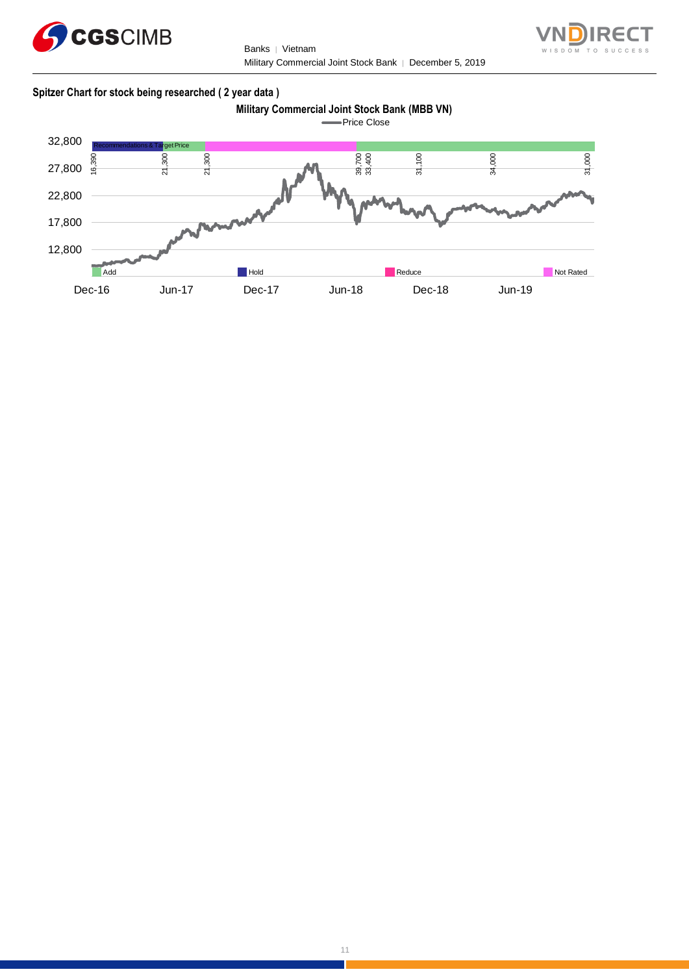

Banks | Vietnam Military Commercial Joint Stock Bank │ December 5, 2019



#### **Spitzer Chart for stock being researched ( 2 year data )**



**Price Close** 

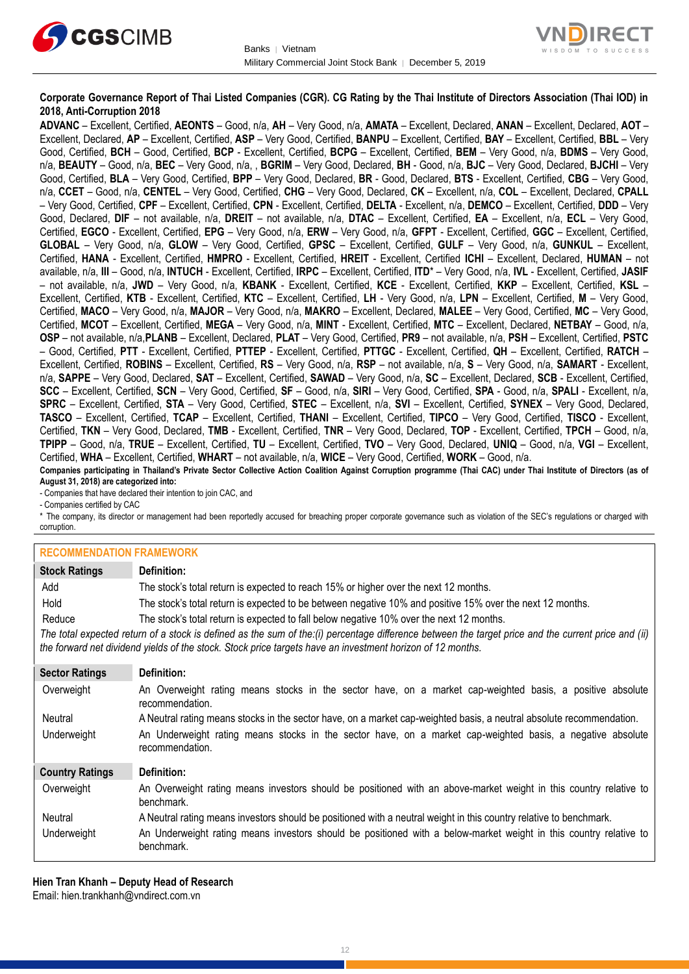



#### **Corporate Governance Report of Thai Listed Companies (CGR). CG Rating by the Thai Institute of Directors Association (Thai IOD) in 2018, Anti-Corruption 2018**

**ADVANC** – Excellent, Certified, **AEONTS** – Good, n/a, **AH** – Very Good, n/a, **AMATA** – Excellent, Declared, **ANAN** – Excellent, Declared, **AOT** – Excellent, Declared, **AP** – Excellent, Certified, **ASP** – Very Good, Certified, **BANPU** – Excellent, Certified, **BAY** – Excellent, Certified, **BBL** – Very Good, Certified, **BCH** – Good, Certified, **BCP** - Excellent, Certified, **BCPG** – Excellent, Certified, **BEM** – Very Good, n/a, **BDMS** – Very Good, n/a, **BEAUTY** – Good, n/a, **BEC** – Very Good, n/a, , **BGRIM** – Very Good, Declared, **BH** - Good, n/a, **BJC** – Very Good, Declared, **BJCHI** – Very Good, Certified, **BLA** – Very Good, Certified, **BPP** – Very Good, Declared, **BR** - Good, Declared, **BTS** - Excellent, Certified, **CBG** – Very Good, n/a, **CCET** – Good, n/a, **CENTEL** – Very Good, Certified, **CHG** – Very Good, Declared, **CK** – Excellent, n/a, **COL** – Excellent, Declared, **CPALL** – Very Good, Certified, **CPF** – Excellent, Certified, **CPN** - Excellent, Certified, **DELTA** - Excellent, n/a, **DEMCO** – Excellent, Certified, **DDD** – Very Good, Declared, **DIF** – not available, n/a, **DREIT** – not available, n/a, **DTAC** – Excellent, Certified, **EA** – Excellent, n/a, **ECL** – Very Good, Certified, **EGCO** - Excellent, Certified, **EPG** – Very Good, n/a, **ERW** – Very Good, n/a, **GFPT** - Excellent, Certified, **GGC** – Excellent, Certified, **GLOBAL** – Very Good, n/a, **GLOW** – Very Good, Certified, **GPSC** – Excellent, Certified, **GULF** – Very Good, n/a, **GUNKUL** – Excellent, Certified, **HANA** - Excellent, Certified, **HMPRO** - Excellent, Certified, **HREIT** - Excellent, Certified **ICHI** – Excellent, Declared, **HUMAN** – not available, n/a, **III** – Good, n/a, **INTUCH** - Excellent, Certified, **IRPC** – Excellent, Certified, **ITD**\* – Very Good, n/a, **IVL** - Excellent, Certified, **JASIF** – not available, n/a, **JWD** – Very Good, n/a, **KBANK** - Excellent, Certified, **KCE** - Excellent, Certified, **KKP** – Excellent, Certified, **KSL** – Excellent, Certified, **KTB** - Excellent, Certified, **KTC** – Excellent, Certified, **LH** - Very Good, n/a, **LPN** – Excellent, Certified, **M** – Very Good, Certified, **MACO** – Very Good, n/a, **MAJOR** – Very Good, n/a, **MAKRO** – Excellent, Declared, **MALEE** – Very Good, Certified, **MC** – Very Good, Certified, **MCOT** – Excellent, Certified, **MEGA** – Very Good, n/a, **MINT** - Excellent, Certified, **MTC** – Excellent, Declared, **NETBAY** – Good, n/a, **OSP** – not available, n/a,**PLANB** – Excellent, Declared, **PLAT** – Very Good, Certified, **PR9** – not available, n/a, **PSH** – Excellent, Certified, **PSTC** – Good, Certified, **PTT** - Excellent, Certified, **PTTEP** - Excellent, Certified, **PTTGC** - Excellent, Certified, **QH** – Excellent, Certified, **RATCH** – Excellent, Certified, **ROBINS** – Excellent, Certified, **RS** – Very Good, n/a, **RSP** – not available, n/a, **S** – Very Good, n/a, **SAMART** - Excellent, n/a, **SAPPE** – Very Good, Declared, **SAT** – Excellent, Certified, **SAWAD** – Very Good, n/a, **SC** – Excellent, Declared, **SCB** - Excellent, Certified, **SCC** – Excellent, Certified, **SCN** – Very Good, Certified, **SF** – Good, n/a, **SIRI** – Very Good, Certified, **SPA** - Good, n/a, **SPALI** - Excellent, n/a, **SPRC** – Excellent, Certified, **STA** – Very Good, Certified, **STEC** – Excellent, n/a, **SVI** – Excellent, Certified, **SYNEX** – Very Good, Declared, **TASCO** – Excellent, Certified, **TCAP** – Excellent, Certified, **THANI** – Excellent, Certified, **TIPCO** – Very Good, Certified, **TISCO** - Excellent, Certified, **TKN** – Very Good, Declared, **TMB** - Excellent, Certified, **TNR** – Very Good, Declared, **TOP** - Excellent, Certified, **TPCH** – Good, n/a, **TPIPP** – Good, n/a, **TRUE** – Excellent, Certified, **TU** – Excellent, Certified, **TVO** – Very Good, Declared, **UNIQ** – Good, n/a, **VGI** – Excellent, Certified, **WHA** – Excellent, Certified, **WHART** – not available, n/a, **WICE** – Very Good, Certified, **WORK** – Good, n/a. **Companies participating in Thailand's Private Sector Collective Action Coalition Against Corruption programme (Thai CAC) under Thai Institute of Directors (as of** 

**August 31, 2018) are categorized into:**

- Companies that have declared their intention to join CAC, and

- Companies certified by CAC

\* The company, its director or management had been reportedly accused for breaching proper corporate governance such as violation of the SEC's regulations or charged with corruption.

#### **RECOMMENDATION FRAMEWORK**

| <u>INLUVININILINDATION LIVAINLINUINN</u> |                                                                                                                                                                                                                                                                   |
|------------------------------------------|-------------------------------------------------------------------------------------------------------------------------------------------------------------------------------------------------------------------------------------------------------------------|
| <b>Stock Ratings</b>                     | Definition:                                                                                                                                                                                                                                                       |
| Add                                      | The stock's total return is expected to reach 15% or higher over the next 12 months.                                                                                                                                                                              |
| Hold                                     | The stock's total return is expected to be between negative 10% and positive 15% over the next 12 months.                                                                                                                                                         |
| Reduce                                   | The stock's total return is expected to fall below negative 10% over the next 12 months.                                                                                                                                                                          |
|                                          | The total expected return of a stock is defined as the sum of the:(i) percentage difference between the target price and the current price and (ii)<br>the forward net dividend yields of the stock. Stock price targets have an investment horizon of 12 months. |
| <b>Sector Ratings</b>                    | Definition:                                                                                                                                                                                                                                                       |
| Overweight                               | An Overweight rating means stocks in the sector have, on a market cap-weighted basis, a positive absolute<br>recommendation.                                                                                                                                      |
| Neutral                                  | A Neutral rating means stocks in the sector have, on a market cap-weighted basis, a neutral absolute recommendation.                                                                                                                                              |
| Underweight                              | An Underweight rating means stocks in the sector have, on a market cap-weighted basis, a negative absolute<br>recommendation.                                                                                                                                     |
| <b>Country Ratings</b>                   | Definition:                                                                                                                                                                                                                                                       |
| Overweight                               | An Overweight rating means investors should be positioned with an above-market weight in this country relative to<br>benchmark.                                                                                                                                   |
| Neutral                                  | A Neutral rating means investors should be positioned with a neutral weight in this country relative to benchmark.                                                                                                                                                |
| Underweight                              | An Underweight rating means investors should be positioned with a below-market weight in this country relative to                                                                                                                                                 |

**Hien Tran Khanh – Deputy Head of Research** Email: [hien.trankhanh@vndirect.com.vn](mailto:hien.trankhanh@vndirect.com.vn)

benchmark.